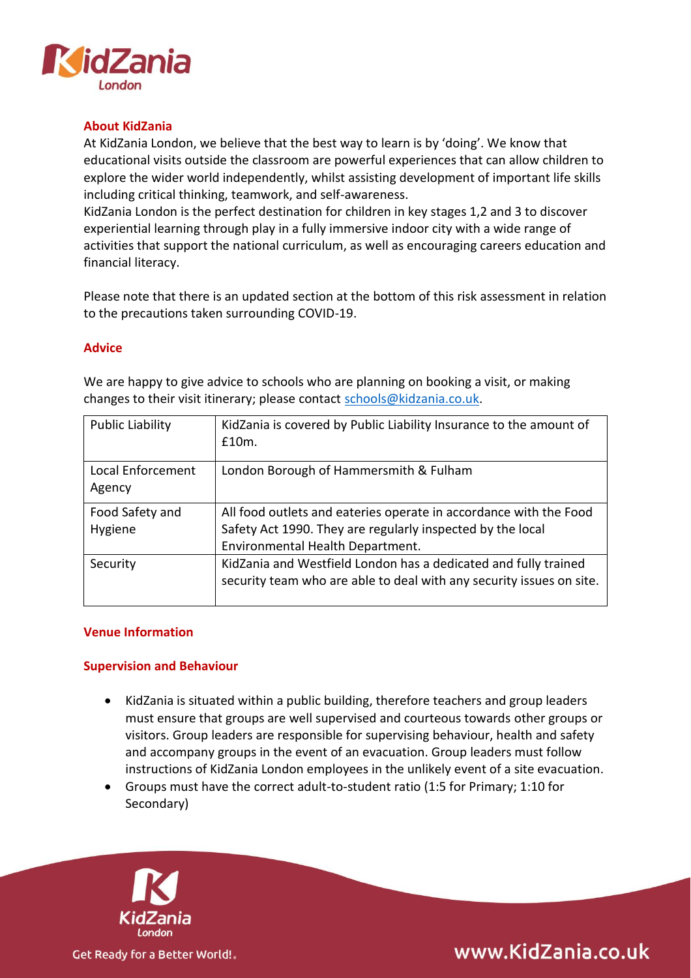

## **About KidZania**

At KidZania London, we believe that the best way to learn is by 'doing'. We know that educational visits outside the classroom are powerful experiences that can allow children to explore the wider world independently, whilst assisting development of important life skills including critical thinking, teamwork, and self-awareness.

KidZania London is the perfect destination for children in key stages 1,2 and 3 to discover experiential learning through play in a fully immersive indoor city with a wide range of activities that support the national curriculum, as well as encouraging careers education and financial literacy.

Please note that there is an updated section at the bottom of this risk assessment in relation to the precautions taken surrounding COVID-19.

#### **Advice**

| <b>Public Liability</b> | KidZania is covered by Public Liability Insurance to the amount of<br>£10m. |
|-------------------------|-----------------------------------------------------------------------------|
| Local Enforcement       | London Borough of Hammersmith & Fulham                                      |
|                         |                                                                             |
| Agency                  |                                                                             |
| Food Safety and         | All food outlets and eateries operate in accordance with the Food           |
| Hygiene                 | Safety Act 1990. They are regularly inspected by the local                  |
|                         | Environmental Health Department.                                            |
| Security                | KidZania and Westfield London has a dedicated and fully trained             |
|                         | security team who are able to deal with any security issues on site.        |
|                         |                                                                             |

We are happy to give advice to schools who are planning on booking a visit, or making changes to their visit itinerary; please contact [schools@kidzania.co.uk.](mailto:schools@kidzania.co.uk)

#### **Venue Information**

#### **Supervision and Behaviour**

- KidZania is situated within a public building, therefore teachers and group leaders must ensure that groups are well supervised and courteous towards other groups or visitors. Group leaders are responsible for supervising behaviour, health and safety and accompany groups in the event of an evacuation. Group leaders must follow instructions of KidZania London employees in the unlikely event of a site evacuation.
- Groups must have the correct adult-to-student ratio (1:5 for Primary; 1:10 for Secondary)



www.KidZania.co.uk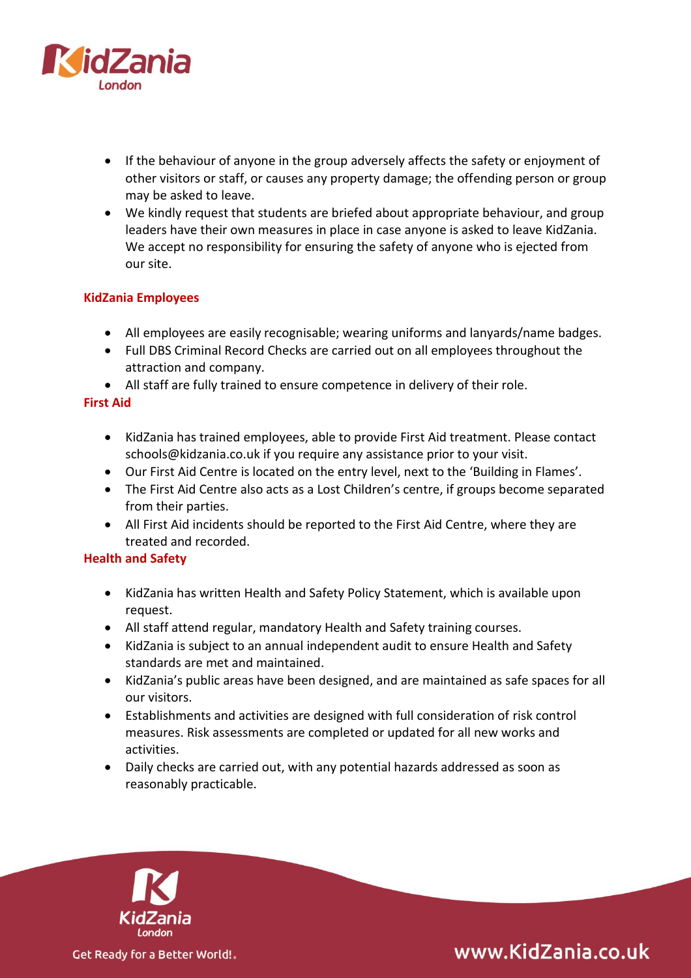

- If the behaviour of anyone in the group adversely affects the safety or enjoyment of other visitors or staff, or causes any property damage; the offending person or group may be asked to leave.
- We kindly request that students are briefed about appropriate behaviour, and group leaders have their own measures in place in case anyone is asked to leave KidZania. We accept no responsibility for ensuring the safety of anyone who is ejected from our site.

## **KidZania Employees**

- All employees are easily recognisable; wearing uniforms and lanyards/name badges.
- Full DBS Criminal Record Checks are carried out on all employees throughout the attraction and company.
- All staff are fully trained to ensure competence in delivery of their role.

## **First Aid**

- KidZania has trained employees, able to provide First Aid treatment. Please contact schools@kidzania.co.uk if you require any assistance prior to your visit.
- Our First Aid Centre is located on the entry level, next to the 'Building in Flames'.
- The First Aid Centre also acts as a Lost Children's centre, if groups become separated from their parties.
- All First Aid incidents should be reported to the First Aid Centre, where they are treated and recorded.

## **Health and Safety**

- KidZania has written Health and Safety Policy Statement, which is available upon request.
- All staff attend regular, mandatory Health and Safety training courses.
- KidZania is subject to an annual independent audit to ensure Health and Safety standards are met and maintained.
- KidZania's public areas have been designed, and are maintained as safe spaces for all our visitors.
- Establishments and activities are designed with full consideration of risk control measures. Risk assessments are completed or updated for all new works and activities.
- Daily checks are carried out, with any potential hazards addressed as soon as reasonably practicable.



www.KidZania.co.uk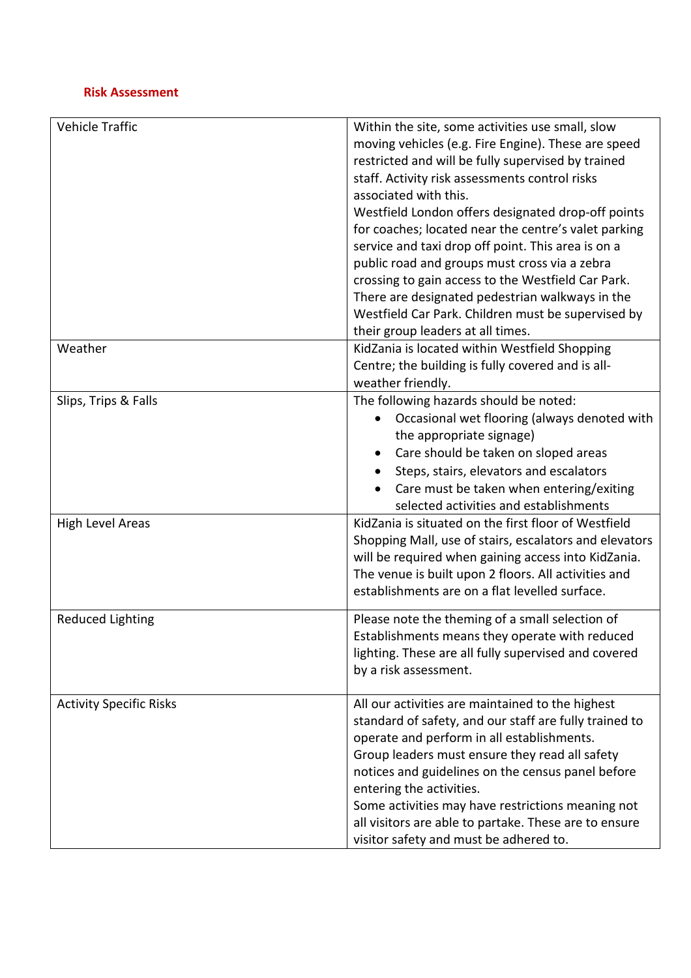## **Risk Assessment**

| Vehicle Traffic                | Within the site, some activities use small, slow<br>moving vehicles (e.g. Fire Engine). These are speed<br>restricted and will be fully supervised by trained<br>staff. Activity risk assessments control risks<br>associated with this.<br>Westfield London offers designated drop-off points<br>for coaches; located near the centre's valet parking<br>service and taxi drop off point. This area is on a<br>public road and groups must cross via a zebra<br>crossing to gain access to the Westfield Car Park.<br>There are designated pedestrian walkways in the<br>Westfield Car Park. Children must be supervised by<br>their group leaders at all times. |
|--------------------------------|-------------------------------------------------------------------------------------------------------------------------------------------------------------------------------------------------------------------------------------------------------------------------------------------------------------------------------------------------------------------------------------------------------------------------------------------------------------------------------------------------------------------------------------------------------------------------------------------------------------------------------------------------------------------|
| Weather                        | KidZania is located within Westfield Shopping<br>Centre; the building is fully covered and is all-<br>weather friendly.                                                                                                                                                                                                                                                                                                                                                                                                                                                                                                                                           |
| Slips, Trips & Falls           | The following hazards should be noted:<br>Occasional wet flooring (always denoted with<br>the appropriate signage)<br>Care should be taken on sloped areas<br>Steps, stairs, elevators and escalators<br>Care must be taken when entering/exiting<br>selected activities and establishments                                                                                                                                                                                                                                                                                                                                                                       |
| <b>High Level Areas</b>        | KidZania is situated on the first floor of Westfield<br>Shopping Mall, use of stairs, escalators and elevators<br>will be required when gaining access into KidZania.<br>The venue is built upon 2 floors. All activities and<br>establishments are on a flat levelled surface.                                                                                                                                                                                                                                                                                                                                                                                   |
| <b>Reduced Lighting</b>        | Please note the theming of a small selection of<br>Establishments means they operate with reduced<br>lighting. These are all fully supervised and covered<br>by a risk assessment.                                                                                                                                                                                                                                                                                                                                                                                                                                                                                |
| <b>Activity Specific Risks</b> | All our activities are maintained to the highest<br>standard of safety, and our staff are fully trained to<br>operate and perform in all establishments.<br>Group leaders must ensure they read all safety<br>notices and guidelines on the census panel before<br>entering the activities.<br>Some activities may have restrictions meaning not<br>all visitors are able to partake. These are to ensure<br>visitor safety and must be adhered to.                                                                                                                                                                                                               |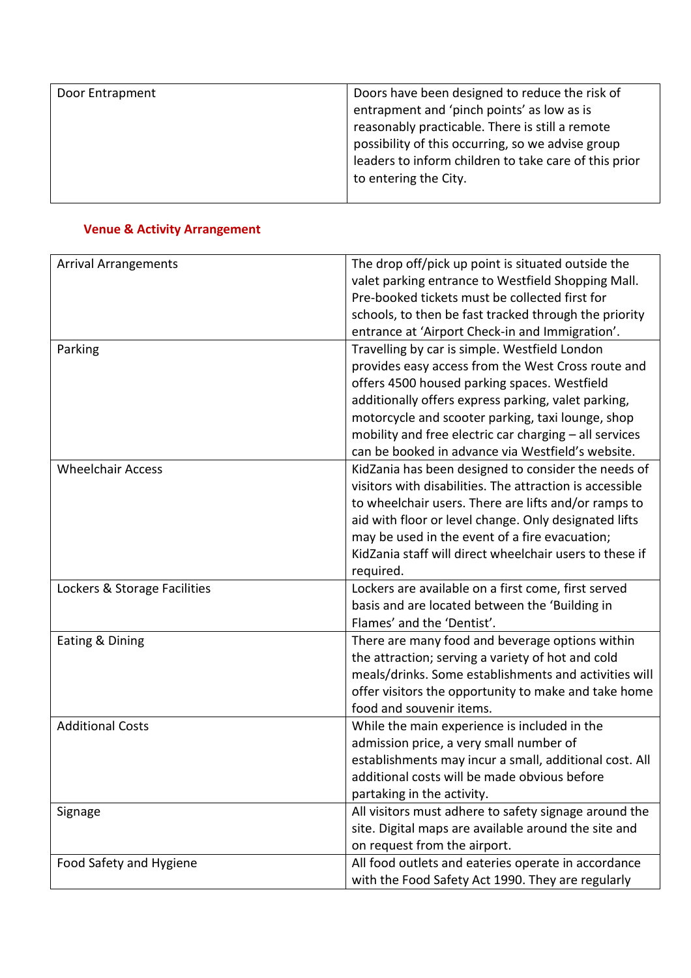| Door Entrapment | Doors have been designed to reduce the risk of<br>entrapment and 'pinch points' as low as is<br>reasonably practicable. There is still a remote<br>possibility of this occurring, so we advise group<br>leaders to inform children to take care of this prior<br>to entering the City. |
|-----------------|----------------------------------------------------------------------------------------------------------------------------------------------------------------------------------------------------------------------------------------------------------------------------------------|
|                 |                                                                                                                                                                                                                                                                                        |

# **Venue & Activity Arrangement**

| <b>Arrival Arrangements</b>  | The drop off/pick up point is situated outside the<br>valet parking entrance to Westfield Shopping Mall.      |
|------------------------------|---------------------------------------------------------------------------------------------------------------|
|                              | Pre-booked tickets must be collected first for                                                                |
|                              | schools, to then be fast tracked through the priority                                                         |
|                              | entrance at 'Airport Check-in and Immigration'.                                                               |
| Parking                      | Travelling by car is simple. Westfield London                                                                 |
|                              | provides easy access from the West Cross route and                                                            |
|                              | offers 4500 housed parking spaces. Westfield                                                                  |
|                              | additionally offers express parking, valet parking,                                                           |
|                              | motorcycle and scooter parking, taxi lounge, shop                                                             |
|                              | mobility and free electric car charging - all services                                                        |
|                              | can be booked in advance via Westfield's website.                                                             |
| <b>Wheelchair Access</b>     | KidZania has been designed to consider the needs of                                                           |
|                              | visitors with disabilities. The attraction is accessible                                                      |
|                              | to wheelchair users. There are lifts and/or ramps to                                                          |
|                              | aid with floor or level change. Only designated lifts                                                         |
|                              | may be used in the event of a fire evacuation;                                                                |
|                              | KidZania staff will direct wheelchair users to these if                                                       |
|                              | required.                                                                                                     |
| Lockers & Storage Facilities | Lockers are available on a first come, first served                                                           |
|                              | basis and are located between the 'Building in                                                                |
|                              | Flames' and the 'Dentist'.                                                                                    |
| Eating & Dining              | There are many food and beverage options within                                                               |
|                              | the attraction; serving a variety of hot and cold                                                             |
|                              | meals/drinks. Some establishments and activities will                                                         |
|                              | offer visitors the opportunity to make and take home                                                          |
|                              | food and souvenir items.                                                                                      |
| <b>Additional Costs</b>      | While the main experience is included in the                                                                  |
|                              | admission price, a very small number of                                                                       |
|                              | establishments may incur a small, additional cost. All                                                        |
|                              | additional costs will be made obvious before                                                                  |
|                              | partaking in the activity.                                                                                    |
| Signage                      | All visitors must adhere to safety signage around the<br>site. Digital maps are available around the site and |
|                              | on request from the airport.                                                                                  |
| Food Safety and Hygiene      | All food outlets and eateries operate in accordance                                                           |
|                              | with the Food Safety Act 1990. They are regularly                                                             |
|                              |                                                                                                               |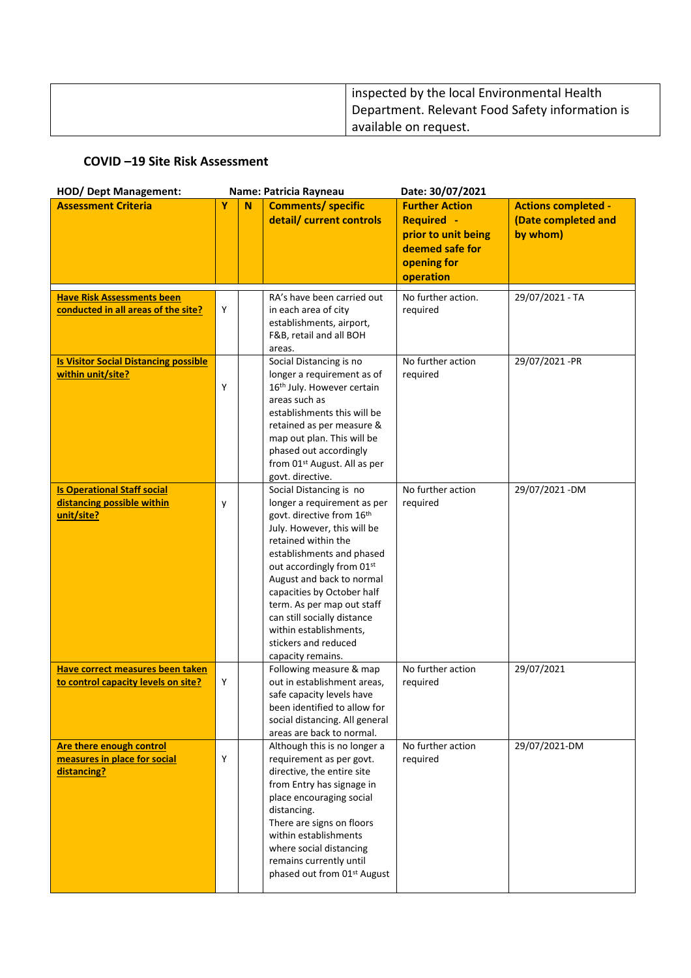| inspected by the local Environmental Health     |
|-------------------------------------------------|
| Department. Relevant Food Safety information is |
| available on request.                           |

## **COVID –19 Site Risk Assessment**

| <b>HOD/ Dept Management:</b>                                                   | Name: Patricia Rayneau |   |                                                                                                                                                                                                                                                                                                                                                                                                    | Date: 30/07/2021                                                                                                 |                                                               |  |
|--------------------------------------------------------------------------------|------------------------|---|----------------------------------------------------------------------------------------------------------------------------------------------------------------------------------------------------------------------------------------------------------------------------------------------------------------------------------------------------------------------------------------------------|------------------------------------------------------------------------------------------------------------------|---------------------------------------------------------------|--|
| <b>Assessment Criteria</b>                                                     | Y                      | N | <b>Comments/ specific</b><br>detail/ current controls                                                                                                                                                                                                                                                                                                                                              | <b>Further Action</b><br><b>Required -</b><br>prior to unit being<br>deemed safe for<br>opening for<br>operation | <b>Actions completed -</b><br>(Date completed and<br>by whom) |  |
| <b>Have Risk Assessments been</b><br>conducted in all areas of the site?       | Y                      |   | RA's have been carried out<br>in each area of city<br>establishments, airport,<br>F&B, retail and all BOH<br>areas.                                                                                                                                                                                                                                                                                | No further action.<br>required                                                                                   | 29/07/2021 - TA                                               |  |
| <b>Is Visitor Social Distancing possible</b><br>within unit/site?              | Y                      |   | Social Distancing is no<br>longer a requirement as of<br>16 <sup>th</sup> July. However certain<br>areas such as<br>establishments this will be<br>retained as per measure &<br>map out plan. This will be<br>phased out accordingly<br>from 01st August. All as per<br>govt. directive.                                                                                                           | No further action<br>required                                                                                    | 29/07/2021-PR                                                 |  |
| <b>Is Operational Staff social</b><br>distancing possible within<br>unit/site? | y                      |   | Social Distancing is no<br>longer a requirement as per<br>govt. directive from 16th<br>July. However, this will be<br>retained within the<br>establishments and phased<br>out accordingly from 01st<br>August and back to normal<br>capacities by October half<br>term. As per map out staff<br>can still socially distance<br>within establishments,<br>stickers and reduced<br>capacity remains. | No further action<br>required                                                                                    | 29/07/2021 - DM                                               |  |
| Have correct measures been taken<br>to control capacity levels on site?        | Y                      |   | Following measure & map<br>out in establishment areas,<br>safe capacity levels have<br>been identified to allow for<br>social distancing. All general<br>areas are back to normal.                                                                                                                                                                                                                 | No further action<br>required                                                                                    | 29/07/2021                                                    |  |
| Are there enough control<br>measures in place for social<br>distancing?        | Y                      |   | Although this is no longer a<br>requirement as per govt.<br>directive, the entire site<br>from Entry has signage in<br>place encouraging social<br>distancing.<br>There are signs on floors<br>within establishments<br>where social distancing<br>remains currently until<br>phased out from 01st August                                                                                          | No further action<br>required                                                                                    | 29/07/2021-DM                                                 |  |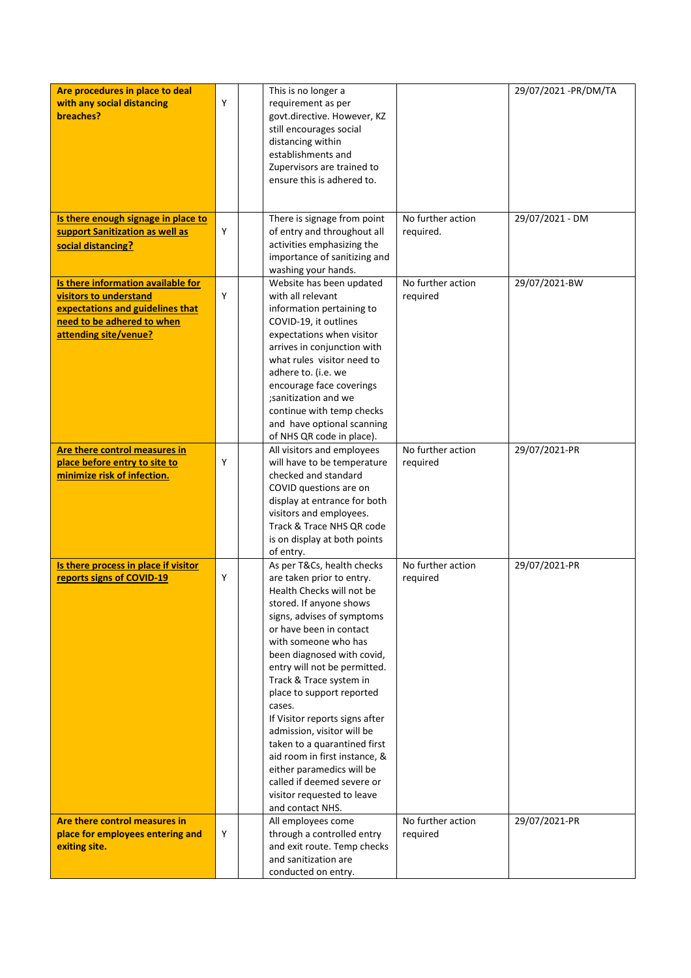| Are procedures in place to deal                                   |   | This is no longer a                                     |                   | 29/07/2021 - PR/DM/TA |
|-------------------------------------------------------------------|---|---------------------------------------------------------|-------------------|-----------------------|
| with any social distancing                                        | Y | requirement as per                                      |                   |                       |
| breaches?                                                         |   | govt.directive. However, KZ                             |                   |                       |
|                                                                   |   | still encourages social                                 |                   |                       |
|                                                                   |   | distancing within                                       |                   |                       |
|                                                                   |   | establishments and                                      |                   |                       |
|                                                                   |   | Zupervisors are trained to                              |                   |                       |
|                                                                   |   | ensure this is adhered to.                              |                   |                       |
|                                                                   |   |                                                         |                   |                       |
|                                                                   |   |                                                         |                   |                       |
| Is there enough signage in place to                               |   | There is signage from point                             | No further action | 29/07/2021 - DM       |
| support Sanitization as well as                                   | Y | of entry and throughout all                             | required.         |                       |
| social distancing?                                                |   | activities emphasizing the                              |                   |                       |
|                                                                   |   | importance of sanitizing and                            |                   |                       |
|                                                                   |   | washing your hands.                                     |                   |                       |
| Is there information available for                                |   | Website has been updated                                | No further action | 29/07/2021-BW         |
| visitors to understand                                            | Y | with all relevant                                       | required          |                       |
| expectations and guidelines that                                  |   | information pertaining to                               |                   |                       |
| need to be adhered to when                                        |   | COVID-19, it outlines                                   |                   |                       |
| attending site/venue?                                             |   | expectations when visitor                               |                   |                       |
|                                                                   |   | arrives in conjunction with                             |                   |                       |
|                                                                   |   | what rules visitor need to                              |                   |                       |
|                                                                   |   | adhere to. (i.e. we                                     |                   |                       |
|                                                                   |   | encourage face coverings                                |                   |                       |
|                                                                   |   | ;sanitization and we                                    |                   |                       |
|                                                                   |   | continue with temp checks                               |                   |                       |
|                                                                   |   | and have optional scanning                              |                   |                       |
|                                                                   |   | of NHS QR code in place).                               |                   |                       |
| Are there control measures in                                     |   | All visitors and employees                              | No further action | 29/07/2021-PR         |
| place before entry to site to                                     | Υ | will have to be temperature                             | required          |                       |
| minimize risk of infection.                                       |   | checked and standard                                    |                   |                       |
|                                                                   |   | COVID questions are on                                  |                   |                       |
|                                                                   |   | display at entrance for both                            |                   |                       |
|                                                                   |   | visitors and employees.                                 |                   |                       |
|                                                                   |   | Track & Trace NHS QR code                               |                   |                       |
|                                                                   |   | is on display at both points                            |                   |                       |
|                                                                   |   | of entry.                                               |                   |                       |
| Is there process in place if visitor<br>reports signs of COVID-19 | Y | As per T&Cs, health checks<br>are taken prior to entry. | No further action | 29/07/2021-PR         |
|                                                                   |   | Health Checks will not be                               | required          |                       |
|                                                                   |   | stored. If anyone shows                                 |                   |                       |
|                                                                   |   | signs, advises of symptoms                              |                   |                       |
|                                                                   |   | or have been in contact                                 |                   |                       |
|                                                                   |   | with someone who has                                    |                   |                       |
|                                                                   |   | been diagnosed with covid,                              |                   |                       |
|                                                                   |   | entry will not be permitted.                            |                   |                       |
|                                                                   |   | Track & Trace system in                                 |                   |                       |
|                                                                   |   | place to support reported                               |                   |                       |
|                                                                   |   | cases.                                                  |                   |                       |
|                                                                   |   | If Visitor reports signs after                          |                   |                       |
|                                                                   |   | admission, visitor will be                              |                   |                       |
|                                                                   |   | taken to a quarantined first                            |                   |                       |
|                                                                   |   | aid room in first instance, &                           |                   |                       |
|                                                                   |   | either paramedics will be                               |                   |                       |
|                                                                   |   | called if deemed severe or                              |                   |                       |
|                                                                   |   | visitor requested to leave                              |                   |                       |
|                                                                   |   | and contact NHS.                                        |                   |                       |
| Are there control measures in                                     |   | All employees come                                      | No further action | 29/07/2021-PR         |
| place for employees entering and                                  | Y | through a controlled entry                              | required          |                       |
| exiting site.                                                     |   | and exit route. Temp checks                             |                   |                       |
|                                                                   |   | and sanitization are                                    |                   |                       |
|                                                                   |   | conducted on entry.                                     |                   |                       |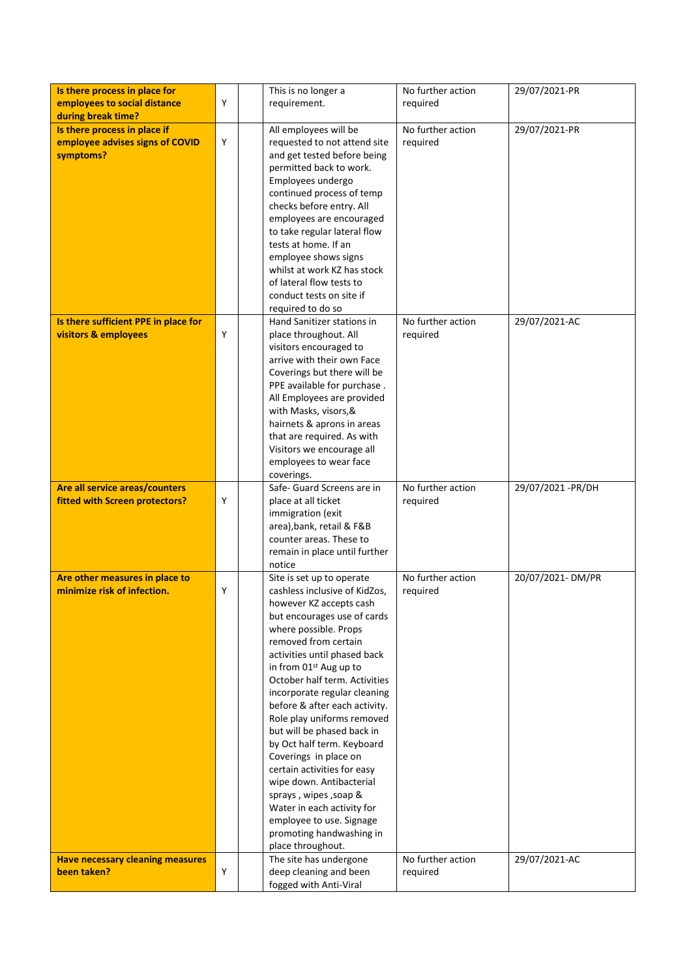| Is there process in place for           |   | This is no longer a           | No further action | 29/07/2021-PR      |
|-----------------------------------------|---|-------------------------------|-------------------|--------------------|
| employees to social distance            | Y | requirement.                  | required          |                    |
| during break time?                      |   |                               |                   |                    |
| Is there process in place if            |   | All employees will be         | No further action | 29/07/2021-PR      |
| employee advises signs of COVID         | Y | requested to not attend site  | required          |                    |
| symptoms?                               |   | and get tested before being   |                   |                    |
|                                         |   | permitted back to work.       |                   |                    |
|                                         |   | Employees undergo             |                   |                    |
|                                         |   | continued process of temp     |                   |                    |
|                                         |   | checks before entry. All      |                   |                    |
|                                         |   |                               |                   |                    |
|                                         |   | employees are encouraged      |                   |                    |
|                                         |   | to take regular lateral flow  |                   |                    |
|                                         |   | tests at home. If an          |                   |                    |
|                                         |   | employee shows signs          |                   |                    |
|                                         |   | whilst at work KZ has stock   |                   |                    |
|                                         |   | of lateral flow tests to      |                   |                    |
|                                         |   | conduct tests on site if      |                   |                    |
|                                         |   | required to do so             |                   |                    |
| Is there sufficient PPE in place for    |   | Hand Sanitizer stations in    | No further action | 29/07/2021-AC      |
| <b>visitors &amp; employees</b>         | Y | place throughout. All         | required          |                    |
|                                         |   | visitors encouraged to        |                   |                    |
|                                         |   | arrive with their own Face    |                   |                    |
|                                         |   | Coverings but there will be   |                   |                    |
|                                         |   | PPE available for purchase.   |                   |                    |
|                                         |   | All Employees are provided    |                   |                    |
|                                         |   | with Masks, visors, &         |                   |                    |
|                                         |   | hairnets & aprons in areas    |                   |                    |
|                                         |   | that are required. As with    |                   |                    |
|                                         |   | Visitors we encourage all     |                   |                    |
|                                         |   | employees to wear face        |                   |                    |
|                                         |   | coverings.                    |                   |                    |
| Are all service areas/counters          |   | Safe- Guard Screens are in    | No further action | 29/07/2021 - PR/DH |
| fitted with Screen protectors?          | Y | place at all ticket           | required          |                    |
|                                         |   | immigration (exit             |                   |                    |
|                                         |   | area), bank, retail & F&B     |                   |                    |
|                                         |   | counter areas. These to       |                   |                    |
|                                         |   | remain in place until further |                   |                    |
|                                         |   | notice                        |                   |                    |
| Are other measures in place to          |   | Site is set up to operate     | No further action | 20/07/2021-DM/PR   |
| minimize risk of infection.             | Y | cashless inclusive of KidZos, | required          |                    |
|                                         |   | however KZ accepts cash       |                   |                    |
|                                         |   | but encourages use of cards   |                   |                    |
|                                         |   | where possible. Props         |                   |                    |
|                                         |   | removed from certain          |                   |                    |
|                                         |   | activities until phased back  |                   |                    |
|                                         |   | in from 01st Aug up to        |                   |                    |
|                                         |   | October half term. Activities |                   |                    |
|                                         |   | incorporate regular cleaning  |                   |                    |
|                                         |   | before & after each activity. |                   |                    |
|                                         |   | Role play uniforms removed    |                   |                    |
|                                         |   | but will be phased back in    |                   |                    |
|                                         |   | by Oct half term. Keyboard    |                   |                    |
|                                         |   | Coverings in place on         |                   |                    |
|                                         |   | certain activities for easy   |                   |                    |
|                                         |   | wipe down. Antibacterial      |                   |                    |
|                                         |   | sprays, wipes, soap &         |                   |                    |
|                                         |   | Water in each activity for    |                   |                    |
|                                         |   | employee to use. Signage      |                   |                    |
|                                         |   | promoting handwashing in      |                   |                    |
|                                         |   | place throughout.             |                   |                    |
| <b>Have necessary cleaning measures</b> |   | The site has undergone        | No further action | 29/07/2021-AC      |
| been taken?                             | Υ | deep cleaning and been        | required          |                    |
|                                         |   | fogged with Anti-Viral        |                   |                    |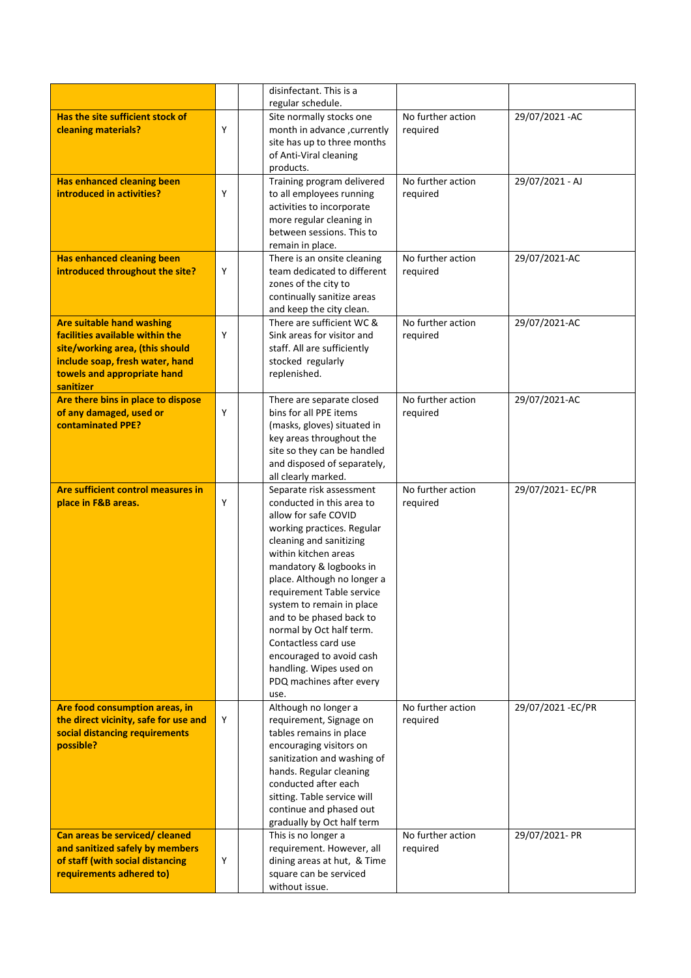|                                                                    |   | disinfectant. This is a                                   |                                |                  |
|--------------------------------------------------------------------|---|-----------------------------------------------------------|--------------------------------|------------------|
|                                                                    |   | regular schedule.                                         |                                |                  |
| Has the site sufficient stock of                                   |   | Site normally stocks one                                  | $\overline{No}$ further action | 29/07/2021 - AC  |
| cleaning materials?                                                | Y | month in advance, currently                               | required                       |                  |
|                                                                    |   | site has up to three months                               |                                |                  |
|                                                                    |   | of Anti-Viral cleaning                                    |                                |                  |
|                                                                    |   | products.                                                 | No further action              |                  |
| <b>Has enhanced cleaning been</b><br>introduced in activities?     | Y | Training program delivered<br>to all employees running    | required                       | 29/07/2021 - AJ  |
|                                                                    |   | activities to incorporate                                 |                                |                  |
|                                                                    |   | more regular cleaning in                                  |                                |                  |
|                                                                    |   | between sessions. This to                                 |                                |                  |
|                                                                    |   | remain in place.                                          |                                |                  |
| <b>Has enhanced cleaning been</b>                                  |   | There is an onsite cleaning                               | No further action              | 29/07/2021-AC    |
| introduced throughout the site?                                    | Y | team dedicated to different                               | required                       |                  |
|                                                                    |   | zones of the city to                                      |                                |                  |
|                                                                    |   | continually sanitize areas                                |                                |                  |
|                                                                    |   | and keep the city clean.                                  |                                |                  |
| <b>Are suitable hand washing</b>                                   |   | There are sufficient WC &                                 | No further action              | 29/07/2021-AC    |
| facilities available within the<br>site/working area, (this should | Y | Sink areas for visitor and<br>staff. All are sufficiently | required                       |                  |
| include soap, fresh water, hand                                    |   | stocked regularly                                         |                                |                  |
| towels and appropriate hand                                        |   | replenished.                                              |                                |                  |
| sanitizer                                                          |   |                                                           |                                |                  |
| Are there bins in place to dispose                                 |   | There are separate closed                                 | No further action              | 29/07/2021-AC    |
| of any damaged, used or                                            | Y | bins for all PPE items                                    | required                       |                  |
| <b>contaminated PPE?</b>                                           |   | (masks, gloves) situated in                               |                                |                  |
|                                                                    |   | key areas throughout the                                  |                                |                  |
|                                                                    |   | site so they can be handled                               |                                |                  |
|                                                                    |   | and disposed of separately,<br>all clearly marked.        |                                |                  |
| Are sufficient control measures in                                 |   | Separate risk assessment                                  | No further action              | 29/07/2021-EC/PR |
| place in F&B areas.                                                | Y | conducted in this area to                                 | required                       |                  |
|                                                                    |   | allow for safe COVID                                      |                                |                  |
|                                                                    |   | working practices. Regular                                |                                |                  |
|                                                                    |   | cleaning and sanitizing                                   |                                |                  |
|                                                                    |   | within kitchen areas                                      |                                |                  |
|                                                                    |   | mandatory & logbooks in                                   |                                |                  |
|                                                                    |   | place. Although no longer a<br>requirement Table service  |                                |                  |
|                                                                    |   | system to remain in place                                 |                                |                  |
|                                                                    |   | and to be phased back to                                  |                                |                  |
|                                                                    |   | normal by Oct half term.                                  |                                |                  |
|                                                                    |   | Contactless card use                                      |                                |                  |
|                                                                    |   | encouraged to avoid cash                                  |                                |                  |
|                                                                    |   | handling. Wipes used on                                   |                                |                  |
|                                                                    |   | PDQ machines after every                                  |                                |                  |
| Are food consumption areas, in                                     |   | use.<br>Although no longer a                              | No further action              | 29/07/2021-EC/PR |
| the direct vicinity, safe for use and                              | Y | requirement, Signage on                                   | required                       |                  |
| social distancing requirements                                     |   | tables remains in place                                   |                                |                  |
| possible?                                                          |   | encouraging visitors on                                   |                                |                  |
|                                                                    |   | sanitization and washing of                               |                                |                  |
|                                                                    |   | hands. Regular cleaning                                   |                                |                  |
|                                                                    |   | conducted after each                                      |                                |                  |
|                                                                    |   | sitting. Table service will                               |                                |                  |
|                                                                    |   | continue and phased out                                   |                                |                  |
| Can areas be serviced/ cleaned                                     |   | gradually by Oct half term<br>This is no longer a         | No further action              | 29/07/2021- PR   |
| and sanitized safely by members                                    |   | requirement. However, all                                 | required                       |                  |
| of staff (with social distancing                                   | Y | dining areas at hut, & Time                               |                                |                  |
| requirements adhered to)                                           |   | square can be serviced                                    |                                |                  |
|                                                                    |   | without issue.                                            |                                |                  |